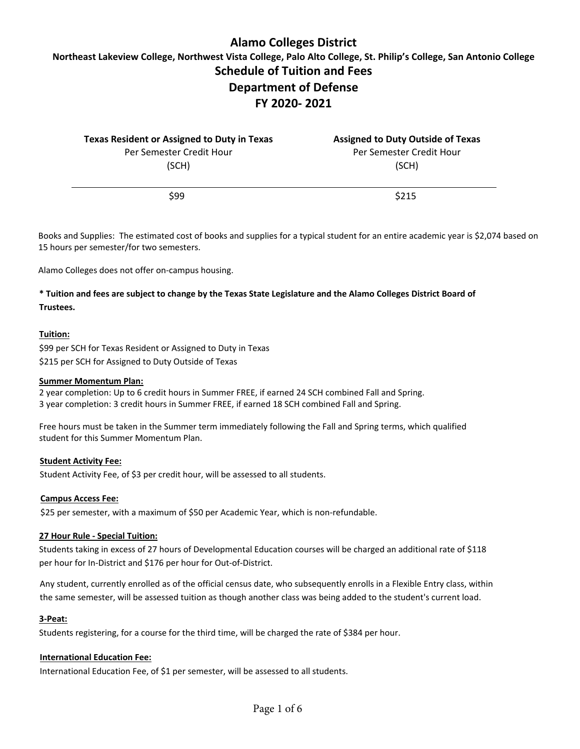# **Alamo Colleges District**

**Northeast Lakeview College, Northwest Vista College, Palo Alto College, St. Philip's College, San Antonio College Schedule of Tuition and Fees Department of Defense** 

# **FY 2020- 2021**

| Texas Resident or Assigned to Duty in Texas | <b>Assigned to Duty Outside of Texas</b> |  |  |
|---------------------------------------------|------------------------------------------|--|--|
| Per Semester Credit Hour                    | Per Semester Credit Hour                 |  |  |
| (SCH)                                       | (SCH)                                    |  |  |
| \$99                                        | \$215                                    |  |  |

Books and Supplies: The estimated cost of books and supplies for a typical student for an entire academic year is \$2,074 based on 15 hours per semester/for two semesters.

Alamo Colleges does not offer on-campus housing.

## **\* Tuition and fees are subject to change by the Texas State Legislature and the Alamo Colleges District Board of Trustees.**

#### **Tuition:**

\$99 per SCH for Texas Resident or Assigned to Duty in Texas \$215 per SCH for Assigned to Duty Outside of Texas

#### **Summer Momentum Plan:**

2 year completion: Up to 6 credit hours in Summer FREE, if earned 24 SCH combined Fall and Spring. 3 year completion: 3 credit hours in Summer FREE, if earned 18 SCH combined Fall and Spring.

Free hours must be taken in the Summer term immediately following the Fall and Spring terms, which qualified student for this Summer Momentum Plan.

#### **Student Activity Fee:**

Student Activity Fee, of \$3 per credit hour, will be assessed to all students.

#### **Campus Access Fee:**

\$25 per semester, with a maximum of \$50 per Academic Year, which is non-refundable.

#### **27 Hour Rule - Special Tuition:**

Students taking in excess of 27 hours of Developmental Education courses will be charged an additional rate of \$118 per hour for In-District and \$176 per hour for Out-of-District.

Any student, currently enrolled as of the official census date, who subsequently enrolls in a Flexible Entry class, within the same semester, will be assessed tuition as though another class was being added to the student's current load.

#### **3-Peat:**

Students registering, for a course for the third time, will be charged the rate of \$384 per hour.

#### **International Education Fee:**

International Education Fee, of \$1 per semester, will be assessed to all students.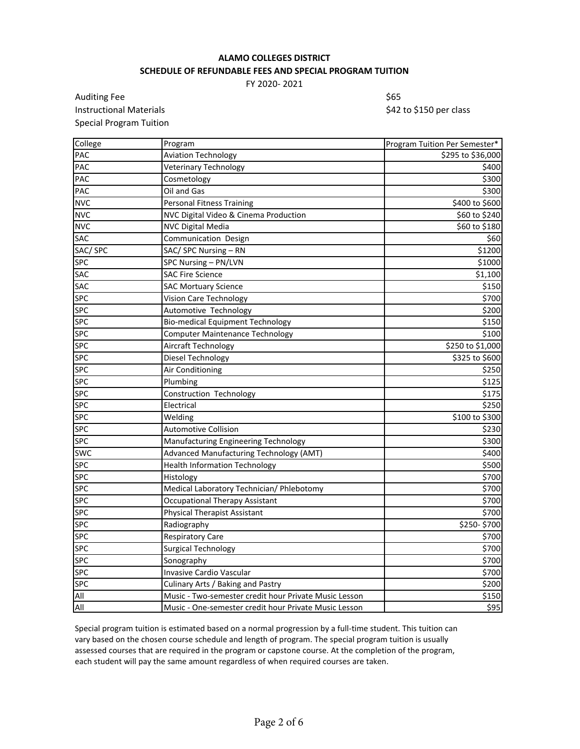## **ALAMO COLLEGES DISTRICT SCHEDULE OF REFUNDABLE FEES AND SPECIAL PROGRAM TUITION**

FY 2020- 2021

Auditing Fee \$65 Instructional Materials **Materials 1988 1988 1988 1998 1998 1998 1999 1999 1999 1999 1999 1999 1999 1999 1999 1999 1999 1999 1999 1999 1999 1999 1999 1999 1999 1999 199** Special Program Tuition

| College        | Program                                               | Program Tuition Per Semester* |
|----------------|-------------------------------------------------------|-------------------------------|
| <b>PAC</b>     | <b>Aviation Technology</b>                            | \$295 to \$36,000             |
| PAC            | Veterinary Technology                                 | \$400                         |
| <b>PAC</b>     | Cosmetology                                           | \$300                         |
| PAC            | Oil and Gas                                           | \$300                         |
| <b>NVC</b>     | <b>Personal Fitness Training</b>                      | \$400 to \$600                |
| <b>NVC</b>     | NVC Digital Video & Cinema Production                 | \$60 to \$240                 |
| <b>NVC</b>     | <b>NVC Digital Media</b>                              | \$60 to \$180                 |
| <b>SAC</b>     | Communication Design                                  | \$60                          |
| SAC/SPC        | SAC/ SPC Nursing - RN                                 | \$1200                        |
| <b>SPC</b>     | SPC Nursing - PN/LVN                                  | \$1000                        |
| <b>SAC</b>     | <b>SAC Fire Science</b>                               | \$1,100                       |
| <b>SAC</b>     | <b>SAC Mortuary Science</b>                           | \$150                         |
| <b>SPC</b>     | Vision Care Technology                                | \$700                         |
| <b>SPC</b>     | Automotive Technology                                 | \$200                         |
| <b>SPC</b>     | <b>Bio-medical Equipment Technology</b>               | \$150                         |
| <b>SPC</b>     | <b>Computer Maintenance Technology</b>                | \$100                         |
| <b>SPC</b>     | Aircraft Technology                                   | \$250 to \$1,000              |
| <b>SPC</b>     | Diesel Technology                                     | \$325 to \$600                |
| <b>SPC</b>     | Air Conditioning                                      | \$250                         |
| <b>SPC</b>     | Plumbing                                              | \$125                         |
| <b>SPC</b>     | Construction Technology                               | \$175                         |
| <b>SPC</b>     | Electrical                                            | \$250                         |
| <b>SPC</b>     | Welding                                               | \$100 to \$300                |
| <b>SPC</b>     | <b>Automotive Collision</b>                           | \$230                         |
| <b>SPC</b>     | Manufacturing Engineering Technology                  | \$300                         |
| <b>SWC</b>     | Advanced Manufacturing Technology (AMT)               | \$400                         |
| <b>SPC</b>     | <b>Health Information Technology</b>                  | \$500                         |
| <b>SPC</b>     | Histology                                             | \$700                         |
| <b>SPC</b>     | Medical Laboratory Technician/ Phlebotomy             | \$700                         |
| <b>SPC</b>     | <b>Occupational Therapy Assistant</b>                 | \$700                         |
| <b>SPC</b>     | <b>Physical Therapist Assistant</b>                   | \$700                         |
| <b>SPC</b>     | Radiography                                           | \$250-\$700                   |
| <b>SPC</b>     | Respiratory Care                                      | \$700                         |
| <b>SPC</b>     | <b>Surgical Technology</b>                            | \$700                         |
| <b>SPC</b>     | Sonography                                            | \$700                         |
| <b>SPC</b>     | Invasive Cardio Vascular                              | \$700                         |
| <b>SPC</b>     | Culinary Arts / Baking and Pastry                     | \$200                         |
| $\mathsf{All}$ | Music - Two-semester credit hour Private Music Lesson | \$150                         |
| All            | Music - One-semester credit hour Private Music Lesson | 595                           |

Special program tuition is estimated based on a normal progression by a full-time student. This tuition can vary based on the chosen course schedule and length of program. The special program tuition is usually assessed courses that are required in the program or capstone course. At the completion of the program, each student will pay the same amount regardless of when required courses are taken.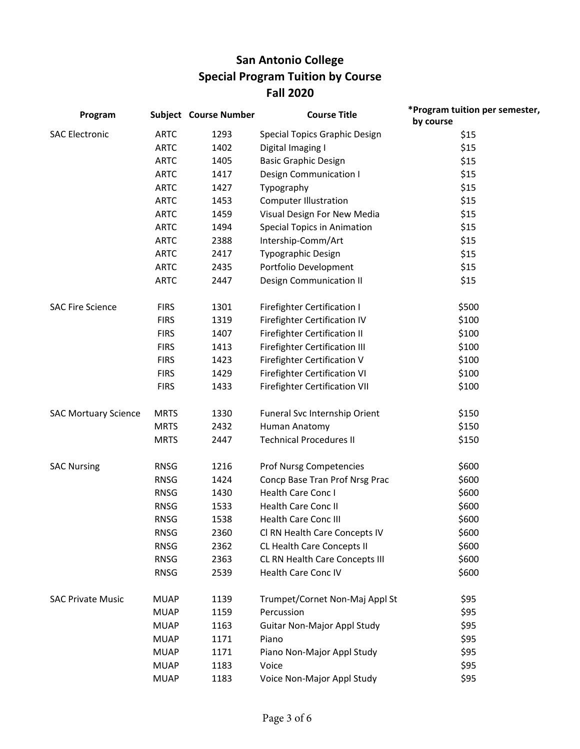# **San Antonio College Special Program Tuition by Course Fall 2020**

| Program                     |             | <b>Subject Course Number</b> | <b>Course Title</b>                  | *Program tuition per semester,<br>by course |
|-----------------------------|-------------|------------------------------|--------------------------------------|---------------------------------------------|
| <b>SAC Electronic</b>       | <b>ARTC</b> | 1293                         | Special Topics Graphic Design        | \$15                                        |
|                             | <b>ARTC</b> | 1402                         | Digital Imaging I                    | \$15                                        |
|                             | <b>ARTC</b> | 1405                         | <b>Basic Graphic Design</b>          | \$15                                        |
|                             | <b>ARTC</b> | 1417                         | Design Communication I               | \$15                                        |
|                             | <b>ARTC</b> | 1427                         | Typography                           | \$15                                        |
|                             | <b>ARTC</b> | 1453                         | <b>Computer Illustration</b>         | \$15                                        |
|                             | <b>ARTC</b> | 1459                         | Visual Design For New Media          | \$15                                        |
|                             | <b>ARTC</b> | 1494                         | <b>Special Topics in Animation</b>   | \$15                                        |
|                             | <b>ARTC</b> | 2388                         | Intership-Comm/Art                   | \$15                                        |
|                             | <b>ARTC</b> | 2417                         | Typographic Design                   | \$15                                        |
|                             | <b>ARTC</b> | 2435                         | Portfolio Development                | \$15                                        |
|                             | <b>ARTC</b> | 2447                         | <b>Design Communication II</b>       | \$15                                        |
| <b>SAC Fire Science</b>     | <b>FIRS</b> | 1301                         | <b>Firefighter Certification I</b>   | \$500                                       |
|                             | <b>FIRS</b> | 1319                         | Firefighter Certification IV         | \$100                                       |
|                             | <b>FIRS</b> | 1407                         | Firefighter Certification II         | \$100                                       |
|                             | <b>FIRS</b> | 1413                         | Firefighter Certification III        | \$100                                       |
|                             | <b>FIRS</b> | 1423                         | Firefighter Certification V          | \$100                                       |
|                             | <b>FIRS</b> | 1429                         | Firefighter Certification VI         | \$100                                       |
|                             | <b>FIRS</b> | 1433                         | <b>Firefighter Certification VII</b> | \$100                                       |
| <b>SAC Mortuary Science</b> | <b>MRTS</b> | 1330                         | Funeral Svc Internship Orient        | \$150                                       |
|                             | <b>MRTS</b> | 2432                         | Human Anatomy                        | \$150                                       |
|                             | <b>MRTS</b> | 2447                         | <b>Technical Procedures II</b>       | \$150                                       |
| <b>SAC Nursing</b>          | <b>RNSG</b> | 1216                         | Prof Nursg Competencies              | \$600                                       |
|                             | <b>RNSG</b> | 1424                         | Concp Base Tran Prof Nrsg Prac       | \$600                                       |
|                             | <b>RNSG</b> | 1430                         | Health Care Conc I                   | \$600                                       |
|                             | <b>RNSG</b> | 1533                         | <b>Health Care Conc II</b>           | \$600                                       |
|                             | <b>RNSG</b> | 1538                         | Health Care Conc III                 | \$600                                       |
|                             | <b>RNSG</b> | 2360                         | Cl RN Health Care Concepts IV        | \$600                                       |
|                             | <b>RNSG</b> | 2362                         | CL Health Care Concepts II           | \$600                                       |
|                             | <b>RNSG</b> | 2363                         | CL RN Health Care Concepts III       | \$600                                       |
|                             | <b>RNSG</b> | 2539                         | Health Care Conc IV                  | \$600                                       |
| <b>SAC Private Music</b>    | <b>MUAP</b> | 1139                         | Trumpet/Cornet Non-Maj Appl St       | \$95                                        |
|                             | <b>MUAP</b> | 1159                         | Percussion                           | \$95                                        |
|                             | <b>MUAP</b> | 1163                         | <b>Guitar Non-Major Appl Study</b>   | \$95                                        |
|                             | <b>MUAP</b> | 1171                         | Piano                                | \$95                                        |
|                             | <b>MUAP</b> | 1171                         | Piano Non-Major Appl Study           | \$95                                        |
|                             | <b>MUAP</b> | 1183                         | Voice                                | \$95                                        |
|                             | <b>MUAP</b> | 1183                         | Voice Non-Major Appl Study           | \$95                                        |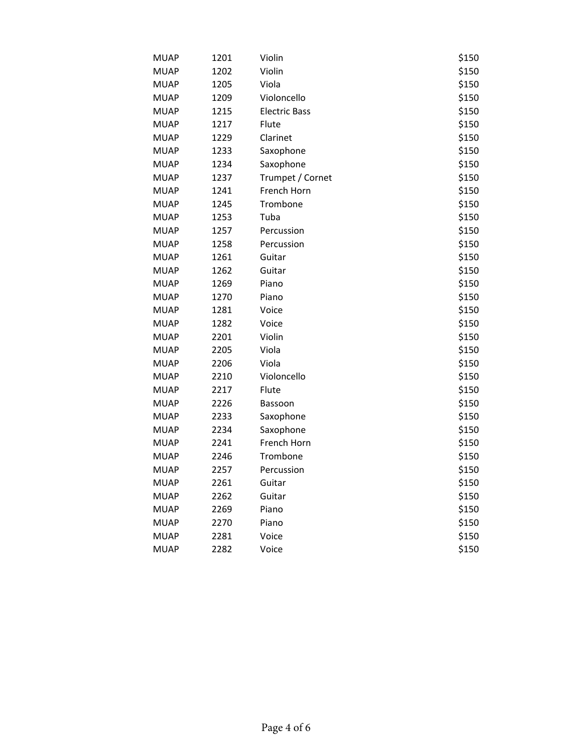| <b>MUAP</b> | 1201 | Violin               | \$150 |
|-------------|------|----------------------|-------|
| <b>MUAP</b> | 1202 | Violin               | \$150 |
| <b>MUAP</b> | 1205 | Viola                | \$150 |
| <b>MUAP</b> | 1209 | Violoncello          | \$150 |
| <b>MUAP</b> | 1215 | <b>Electric Bass</b> | \$150 |
| <b>MUAP</b> | 1217 | Flute                | \$150 |
| <b>MUAP</b> | 1229 | Clarinet             | \$150 |
| <b>MUAP</b> | 1233 | Saxophone            | \$150 |
| <b>MUAP</b> | 1234 | Saxophone            | \$150 |
| <b>MUAP</b> | 1237 | Trumpet / Cornet     | \$150 |
| <b>MUAP</b> | 1241 | French Horn          | \$150 |
| <b>MUAP</b> | 1245 | Trombone             | \$150 |
| <b>MUAP</b> | 1253 | Tuba                 | \$150 |
| <b>MUAP</b> | 1257 | Percussion           | \$150 |
| <b>MUAP</b> | 1258 | Percussion           | \$150 |
| <b>MUAP</b> | 1261 | Guitar               | \$150 |
| <b>MUAP</b> | 1262 | Guitar               | \$150 |
| <b>MUAP</b> | 1269 | Piano                | \$150 |
| <b>MUAP</b> | 1270 | Piano                | \$150 |
| <b>MUAP</b> | 1281 | Voice                | \$150 |
| <b>MUAP</b> | 1282 | Voice                | \$150 |
| <b>MUAP</b> | 2201 | Violin               | \$150 |
| <b>MUAP</b> | 2205 | Viola                | \$150 |
| <b>MUAP</b> | 2206 | Viola                | \$150 |
| <b>MUAP</b> | 2210 | Violoncello          | \$150 |
| <b>MUAP</b> | 2217 | Flute                | \$150 |
| <b>MUAP</b> | 2226 | Bassoon              | \$150 |
| <b>MUAP</b> | 2233 | Saxophone            | \$150 |
| <b>MUAP</b> | 2234 | Saxophone            | \$150 |
| <b>MUAP</b> | 2241 | French Horn          | \$150 |
| <b>MUAP</b> | 2246 | Trombone             | \$150 |
| <b>MUAP</b> | 2257 | Percussion           | \$150 |
| <b>MUAP</b> | 2261 | Guitar               | \$150 |
| <b>MUAP</b> | 2262 | Guitar               | \$150 |
| <b>MUAP</b> | 2269 | Piano                | \$150 |
| <b>MUAP</b> | 2270 | Piano                | \$150 |
| <b>MUAP</b> | 2281 | Voice                | \$150 |
| <b>MUAP</b> | 2282 | Voice                | \$150 |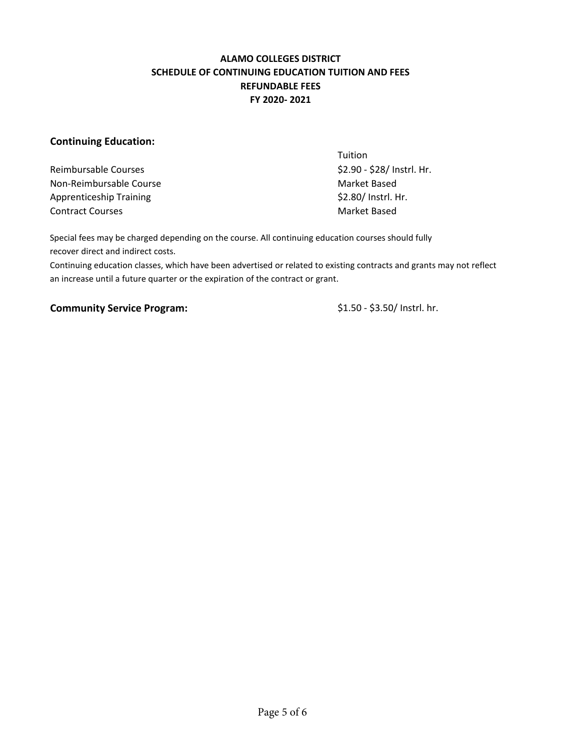## **ALAMO COLLEGES DISTRICT SCHEDULE OF CONTINUING EDUCATION TUITION AND FEES REFUNDABLE FEES FY 2020- 2021**

## **Continuing Education:**

Reimbursable Courses  $\frac{1}{2}$  Courses  $\frac{1}{2}$  Reimbursable Courses  $\frac{1}{2}$  Courses  $\frac{1}{2}$  Courses  $\frac{1}{2}$  Courses  $\frac{1}{2}$  Courses  $\frac{1}{2}$  Courses  $\frac{1}{2}$  Courses  $\frac{1}{2}$  Courses  $\frac{1}{2}$  Courses  $\frac{1}{2}$ Non-Reimbursable Course Market Based Apprenticeship Training **Example 2018** S2.80/ Instrl. Hr. Contract Courses and Contract Courses and Contract Based

**Tuition** 

Special fees may be charged depending on the course. All continuing education courses should fully recover direct and indirect costs.

Continuing education classes, which have been advertised or related to existing contracts and grants may not reflect an increase until a future quarter or the expiration of the contract or grant.

## **Community Service Program:**  $$1.50 - $3.50/$  Instrl. hr.